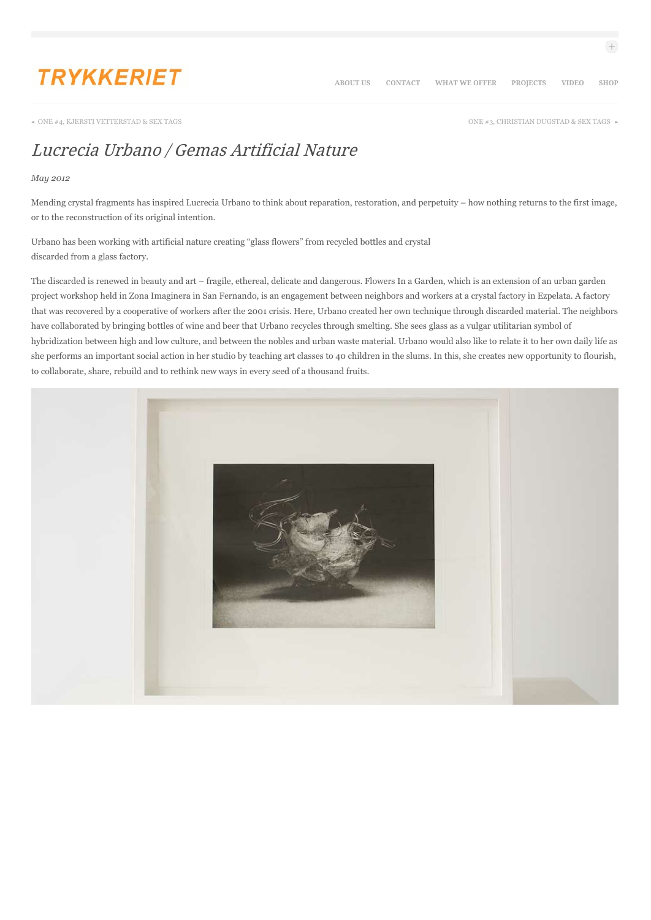## **TRYKKERIET**

 $\bullet \text{ ONE } \# 3, \text{CHRISTI} \text{ VETTERSTAD} \text{ & SELTAGS}$ 

## Lucrecia Urbano / Gemas [Artificial](http://trykkerietbergen.no/lucrecia-urbano/) Nature

## *May 2012*

Mending crystal fragments has inspired Lucrecia Urbano to think about reparation, restoration, and perpetuity – how nothing returns to the first image, or to the reconstruction of its original intention.

Urbano has been working with artificial nature creating "glass flowers" from recycled bottles and crystal discarded from a glass factory.

The discarded is renewed in beauty and art – fragile, ethereal, delicate and dangerous. Flowers In a Garden, which is an extension of an urban garden project workshop held in Zona Imaginera in San Fernando, is an engagement between neighbors and workers at a crystal factory in Ezpelata. A factory that was recovered by a cooperative of workers after the 2001 crisis. Here, Urbano created her own technique through discarded material. The neighbors have collaborated by bringing bottles of wine and beer that Urbano recycles through smelting. She sees glass as a vulgar utilitarian symbol of hybridization between high and low culture, and between the nobles and urban waste material. Urbano would also like to relate it to her own daily life as she performs an important social action in her studio by teaching art classes to 40 children in the slums. In this, she creates new opportunity to flourish, to collaborate, share, rebuild and to rethink new ways in every seed of a thousand fruits.

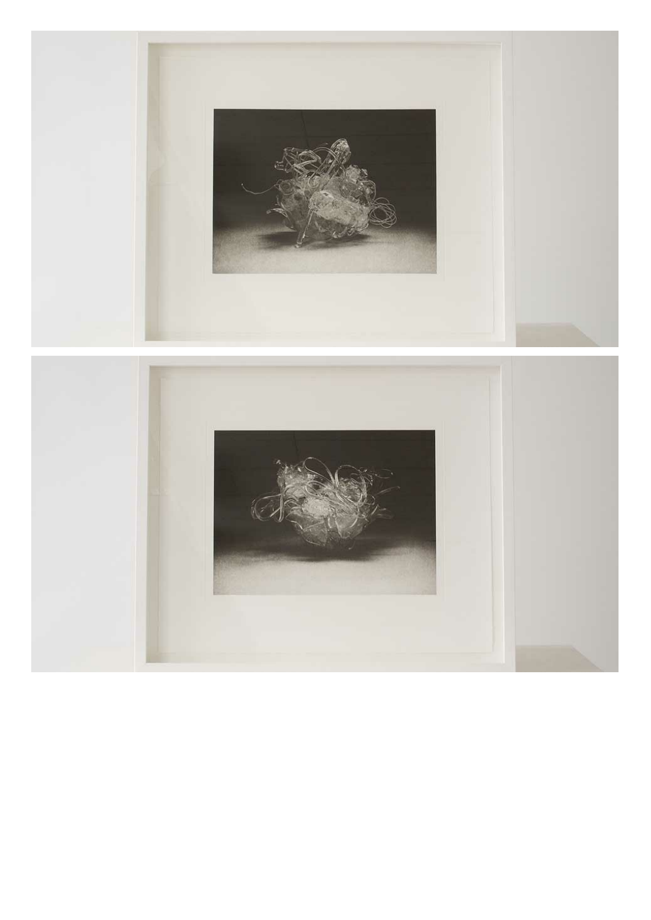